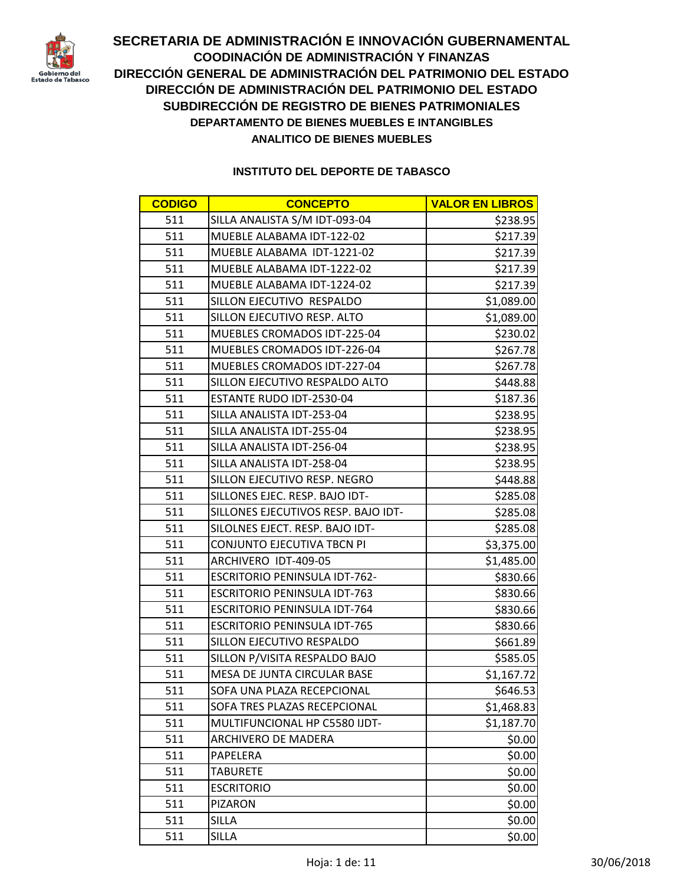

| <b>CODIGO</b> | <b>CONCEPTO</b>                      | <b>VALOR EN LIBROS</b> |
|---------------|--------------------------------------|------------------------|
| 511           | SILLA ANALISTA S/M IDT-093-04        | \$238.95               |
| 511           | MUEBLE ALABAMA IDT-122-02            | \$217.39               |
| 511           | MUEBLE ALABAMA IDT-1221-02           | \$217.39               |
| 511           | MUEBLE ALABAMA IDT-1222-02           | \$217.39               |
| 511           | MUEBLE ALABAMA IDT-1224-02           | \$217.39               |
| 511           | SILLON EJECUTIVO RESPALDO            | \$1,089.00             |
| 511           | SILLON EJECUTIVO RESP. ALTO          | \$1,089.00             |
| 511           | MUEBLES CROMADOS IDT-225-04          | \$230.02               |
| 511           | MUEBLES CROMADOS IDT-226-04          | \$267.78               |
| 511           | MUEBLES CROMADOS IDT-227-04          | \$267.78               |
| 511           | SILLON EJECUTIVO RESPALDO ALTO       | \$448.88               |
| 511           | ESTANTE RUDO IDT-2530-04             | \$187.36               |
| 511           | SILLA ANALISTA IDT-253-04            | \$238.95               |
| 511           | SILLA ANALISTA IDT-255-04            | \$238.95               |
| 511           | SILLA ANALISTA IDT-256-04            | \$238.95               |
| 511           | SILLA ANALISTA IDT-258-04            | \$238.95               |
| 511           | SILLON EJECUTIVO RESP. NEGRO         | \$448.88               |
| 511           | SILLONES EJEC. RESP. BAJO IDT-       | \$285.08               |
| 511           | SILLONES EJECUTIVOS RESP. BAJO IDT-  | \$285.08               |
| 511           | SILOLNES EJECT. RESP. BAJO IDT-      | \$285.08               |
| 511           | CONJUNTO EJECUTIVA TBCN PI           | \$3,375.00             |
| 511           | ARCHIVERO IDT-409-05                 | \$1,485.00             |
| 511           | <b>ESCRITORIO PENINSULA IDT-762-</b> | \$830.66               |
| 511           | <b>ESCRITORIO PENINSULA IDT-763</b>  | \$830.66               |
| 511           | <b>ESCRITORIO PENINSULA IDT-764</b>  | \$830.66               |
| 511           | <b>ESCRITORIO PENINSULA IDT-765</b>  | \$830.66               |
| 511           | SILLON EJECUTIVO RESPALDO            | \$661.89               |
| 511           | SILLON P/VISITA RESPALDO BAJO        | \$585.05               |
| 511           | MESA DE JUNTA CIRCULAR BASE          | \$1,167.72             |
| 511           | SOFA UNA PLAZA RECEPCIONAL           | \$646.53               |
| 511           | SOFA TRES PLAZAS RECEPCIONAL         | \$1,468.83             |
| 511           | MULTIFUNCIONAL HP C5580 IJDT-        | \$1,187.70             |
| 511           | ARCHIVERO DE MADERA                  | \$0.00                 |
| 511           | PAPELERA                             | \$0.00                 |
| 511           | <b>TABURETE</b>                      | \$0.00                 |
| 511           | <b>ESCRITORIO</b>                    | \$0.00                 |
| 511           | <b>PIZARON</b>                       | \$0.00                 |
| 511           | <b>SILLA</b>                         | \$0.00                 |
| 511           | <b>SILLA</b>                         | \$0.00                 |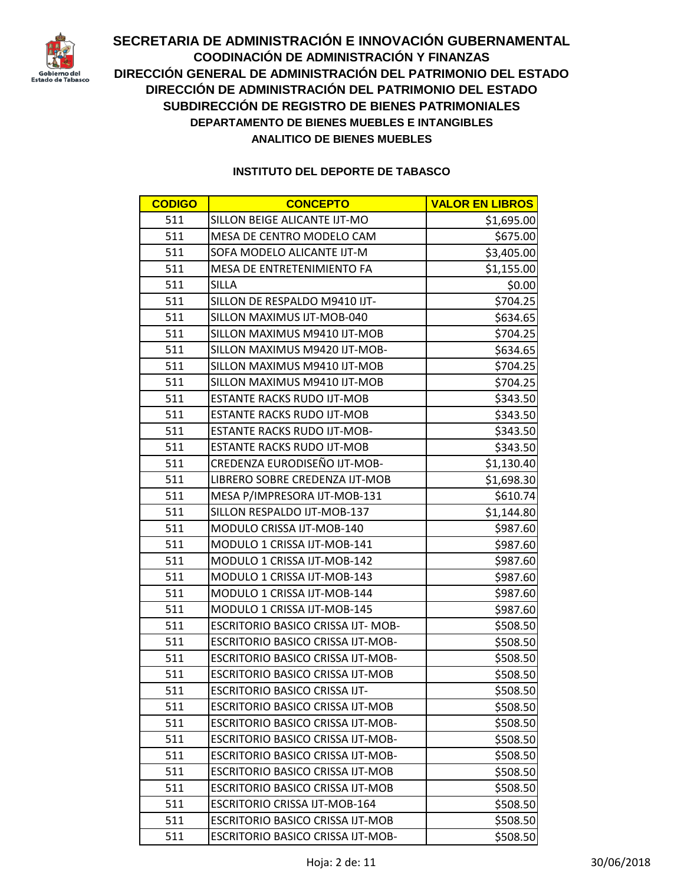

| <b>CODIGO</b> | <b>CONCEPTO</b>                           | <b>VALOR EN LIBROS</b> |
|---------------|-------------------------------------------|------------------------|
| 511           | SILLON BEIGE ALICANTE IJT-MO              | \$1,695.00             |
| 511           | MESA DE CENTRO MODELO CAM                 | \$675.00               |
| 511           | SOFA MODELO ALICANTE IJT-M                | \$3,405.00             |
| 511           | MESA DE ENTRETENIMIENTO FA                | \$1,155.00             |
| 511           | <b>SILLA</b>                              | \$0.00                 |
| 511           | SILLON DE RESPALDO M9410 IJT-             | \$704.25               |
| 511           | SILLON MAXIMUS IJT-MOB-040                | \$634.65               |
| 511           | SILLON MAXIMUS M9410 IJT-MOB              | \$704.25               |
| 511           | SILLON MAXIMUS M9420 IJT-MOB-             | \$634.65               |
| 511           | SILLON MAXIMUS M9410 IJT-MOB              | \$704.25               |
| 511           | SILLON MAXIMUS M9410 IJT-MOB              | \$704.25               |
| 511           | <b>ESTANTE RACKS RUDO IJT-MOB</b>         | \$343.50               |
| 511           | <b>ESTANTE RACKS RUDO IJT-MOB</b>         | \$343.50               |
| 511           | <b>ESTANTE RACKS RUDO IJT-MOB-</b>        | \$343.50               |
| 511           | <b>ESTANTE RACKS RUDO IJT-MOB</b>         | \$343.50               |
| 511           | CREDENZA EURODISEÑO IJT-MOB-              | \$1,130.40             |
| 511           | LIBRERO SOBRE CREDENZA IJT-MOB            | \$1,698.30             |
| 511           | MESA P/IMPRESORA IJT-MOB-131              | \$610.74               |
| 511           | SILLON RESPALDO IJT-MOB-137               | \$1,144.80             |
| 511           | MODULO CRISSA IJT-MOB-140                 | \$987.60               |
| 511           | MODULO 1 CRISSA IJT-MOB-141               | \$987.60               |
| 511           | MODULO 1 CRISSA IJT-MOB-142               | \$987.60               |
| 511           | MODULO 1 CRISSA IJT-MOB-143               | \$987.60               |
| 511           | MODULO 1 CRISSA IJT-MOB-144               | \$987.60               |
| 511           | MODULO 1 CRISSA IJT-MOB-145               | \$987.60               |
| 511           | <b>ESCRITORIO BASICO CRISSA IJT- MOB-</b> | \$508.50               |
| 511           | <b>ESCRITORIO BASICO CRISSA IJT-MOB-</b>  | \$508.50               |
| 511           | <b>ESCRITORIO BASICO CRISSA IJT-MOB-</b>  | \$508.50               |
| 511           | <b>ESCRITORIO BASICO CRISSA IJT-MOB</b>   | \$508.50               |
| 511           | <b>ESCRITORIO BASICO CRISSA IJT-</b>      | \$508.50               |
| 511           | <b>ESCRITORIO BASICO CRISSA IJT-MOB</b>   | \$508.50               |
| 511           | <b>ESCRITORIO BASICO CRISSA IJT-MOB-</b>  | \$508.50               |
| 511           | <b>ESCRITORIO BASICO CRISSA IJT-MOB-</b>  | \$508.50               |
| 511           | <b>ESCRITORIO BASICO CRISSA IJT-MOB-</b>  | \$508.50               |
| 511           | <b>ESCRITORIO BASICO CRISSA IJT-MOB</b>   | \$508.50               |
| 511           | <b>ESCRITORIO BASICO CRISSA IJT-MOB</b>   | \$508.50               |
| 511           | <b>ESCRITORIO CRISSA IJT-MOB-164</b>      | \$508.50               |
| 511           | <b>ESCRITORIO BASICO CRISSA IJT-MOB</b>   | \$508.50               |
| 511           | <b>ESCRITORIO BASICO CRISSA IJT-MOB-</b>  | \$508.50               |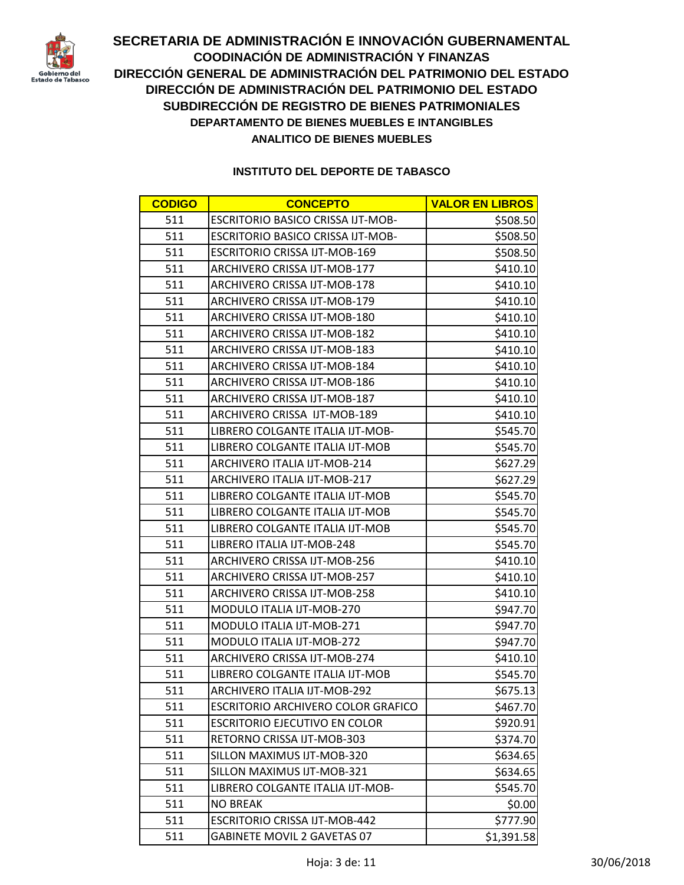

| <b>CODIGO</b> | <b>CONCEPTO</b>                           | <b>VALOR EN LIBROS</b> |
|---------------|-------------------------------------------|------------------------|
| 511           | <b>ESCRITORIO BASICO CRISSA IJT-MOB-</b>  | \$508.50               |
| 511           | <b>ESCRITORIO BASICO CRISSA IJT-MOB-</b>  | \$508.50               |
| 511           | <b>ESCRITORIO CRISSA IJT-MOB-169</b>      | \$508.50               |
| 511           | ARCHIVERO CRISSA IJT-MOB-177              | \$410.10               |
| 511           | ARCHIVERO CRISSA IJT-MOB-178              | \$410.10               |
| 511           | ARCHIVERO CRISSA IJT-MOB-179              | \$410.10               |
| 511           | ARCHIVERO CRISSA IJT-MOB-180              | \$410.10               |
| 511           | ARCHIVERO CRISSA IJT-MOB-182              | \$410.10               |
| 511           | ARCHIVERO CRISSA IJT-MOB-183              | \$410.10               |
| 511           | ARCHIVERO CRISSA IJT-MOB-184              | \$410.10               |
| 511           | ARCHIVERO CRISSA IJT-MOB-186              | \$410.10               |
| 511           | ARCHIVERO CRISSA IJT-MOB-187              | \$410.10               |
| 511           | ARCHIVERO CRISSA IJT-MOB-189              | \$410.10               |
| 511           | LIBRERO COLGANTE ITALIA IJT-MOB-          | \$545.70               |
| 511           | LIBRERO COLGANTE ITALIA IJT-MOB           | \$545.70               |
| 511           | <b>ARCHIVERO ITALIA IJT-MOB-214</b>       | \$627.29               |
| 511           | ARCHIVERO ITALIA IJT-MOB-217              | \$627.29               |
| 511           | LIBRERO COLGANTE ITALIA IJT-MOB           | \$545.70               |
| 511           | LIBRERO COLGANTE ITALIA IJT-MOB           | \$545.70               |
| 511           | LIBRERO COLGANTE ITALIA IJT-MOB           | \$545.70               |
| 511           | LIBRERO ITALIA IJT-MOB-248                | \$545.70               |
| 511           | ARCHIVERO CRISSA IJT-MOB-256              | \$410.10               |
| 511           | ARCHIVERO CRISSA IJT-MOB-257              | \$410.10               |
| 511           | ARCHIVERO CRISSA IJT-MOB-258              | \$410.10               |
| 511           | MODULO ITALIA IJT-MOB-270                 | \$947.70               |
| 511           | MODULO ITALIA IJT-MOB-271                 | \$947.70               |
| 511           | MODULO ITALIA IJT-MOB-272                 | \$947.70               |
| 511           | ARCHIVERO CRISSA IJT-MOB-274              | \$410.10               |
| 511           | LIBRERO COLGANTE ITALIA IJT-MOB           | \$545.70               |
| 511           | ARCHIVERO ITALIA IJT-MOB-292              | \$675.13               |
| 511           | <b>ESCRITORIO ARCHIVERO COLOR GRAFICO</b> | \$467.70               |
| 511           | <b>ESCRITORIO EJECUTIVO EN COLOR</b>      | \$920.91               |
| 511           | RETORNO CRISSA IJT-MOB-303                | \$374.70               |
| 511           | SILLON MAXIMUS IJT-MOB-320                | \$634.65               |
| 511           | SILLON MAXIMUS IJT-MOB-321                | \$634.65               |
| 511           | LIBRERO COLGANTE ITALIA IJT-MOB-          | \$545.70               |
| 511           | <b>NO BREAK</b>                           | \$0.00                 |
| 511           | <b>ESCRITORIO CRISSA IJT-MOB-442</b>      | \$777.90               |
| 511           | <b>GABINETE MOVIL 2 GAVETAS 07</b>        | \$1,391.58             |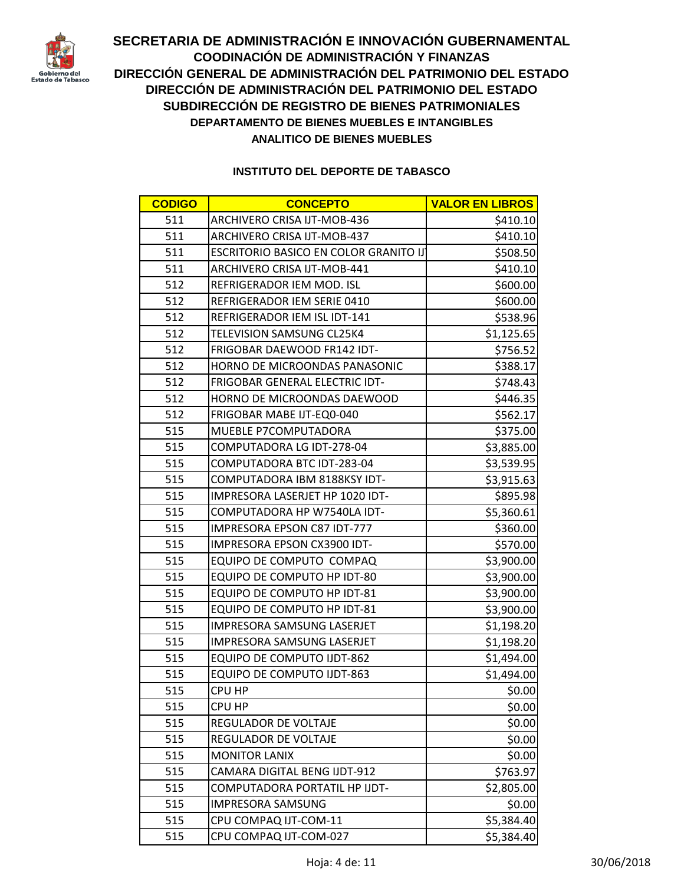

| <b>CODIGO</b> | <b>CONCEPTO</b>                       | <b>VALOR EN LIBROS</b> |
|---------------|---------------------------------------|------------------------|
| 511           | ARCHIVERO CRISA IJT-MOB-436           | \$410.10               |
| 511           | ARCHIVERO CRISA IJT-MOB-437           | \$410.10               |
| 511           | ESCRITORIO BASICO EN COLOR GRANITO IJ | \$508.50               |
| 511           | ARCHIVERO CRISA IJT-MOB-441           | \$410.10               |
| 512           | REFRIGERADOR IEM MOD. ISL             | \$600.00               |
| 512           | REFRIGERADOR IEM SERIE 0410           | \$600.00               |
| 512           | REFRIGERADOR IEM ISL IDT-141          | \$538.96               |
| 512           | TELEVISION SAMSUNG CL25K4             | \$1,125.65             |
| 512           | FRIGOBAR DAEWOOD FR142 IDT-           | \$756.52               |
| 512           | HORNO DE MICROONDAS PANASONIC         | \$388.17               |
| 512           | FRIGOBAR GENERAL ELECTRIC IDT-        | \$748.43               |
| 512           | HORNO DE MICROONDAS DAEWOOD           | \$446.35               |
| 512           | FRIGOBAR MABE IJT-EQ0-040             | \$562.17               |
| 515           | MUEBLE P7COMPUTADORA                  | \$375.00               |
| 515           | COMPUTADORA LG IDT-278-04             | \$3,885.00             |
| 515           | COMPUTADORA BTC IDT-283-04            | \$3,539.95             |
| 515           | COMPUTADORA IBM 8188KSY IDT-          | \$3,915.63             |
| 515           | IMPRESORA LASERJET HP 1020 IDT-       | \$895.98               |
| 515           | COMPUTADORA HP W7540LA IDT-           | \$5,360.61             |
| 515           | IMPRESORA EPSON C87 IDT-777           | \$360.00               |
| 515           | IMPRESORA EPSON CX3900 IDT-           | \$570.00               |
| 515           | EQUIPO DE COMPUTO COMPAQ              | \$3,900.00             |
| 515           | EQUIPO DE COMPUTO HP IDT-80           | \$3,900.00             |
| 515           | EQUIPO DE COMPUTO HP IDT-81           | \$3,900.00             |
| 515           | EQUIPO DE COMPUTO HP IDT-81           | \$3,900.00             |
| 515           | IMPRESORA SAMSUNG LASERJET            | \$1,198.20             |
| 515           | IMPRESORA SAMSUNG LASERJET            | \$1,198.20             |
| 515           | <b>EQUIPO DE COMPUTO IJDT-862</b>     | \$1,494.00             |
| 515           | <b>EQUIPO DE COMPUTO IJDT-863</b>     | \$1,494.00             |
| 515           | <b>CPU HP</b>                         | \$0.00                 |
| 515           | CPU HP                                | \$0.00                 |
| 515           | REGULADOR DE VOLTAJE                  | \$0.00                 |
| 515           | REGULADOR DE VOLTAJE                  | \$0.00                 |
| 515           | <b>MONITOR LANIX</b>                  | \$0.00                 |
| 515           | CAMARA DIGITAL BENG IJDT-912          | \$763.97               |
| 515           | COMPUTADORA PORTATIL HP IJDT-         | \$2,805.00             |
| 515           | <b>IMPRESORA SAMSUNG</b>              | \$0.00                 |
| 515           | CPU COMPAQ IJT-COM-11                 | \$5,384.40             |
| 515           | CPU COMPAQ IJT-COM-027                | \$5,384.40             |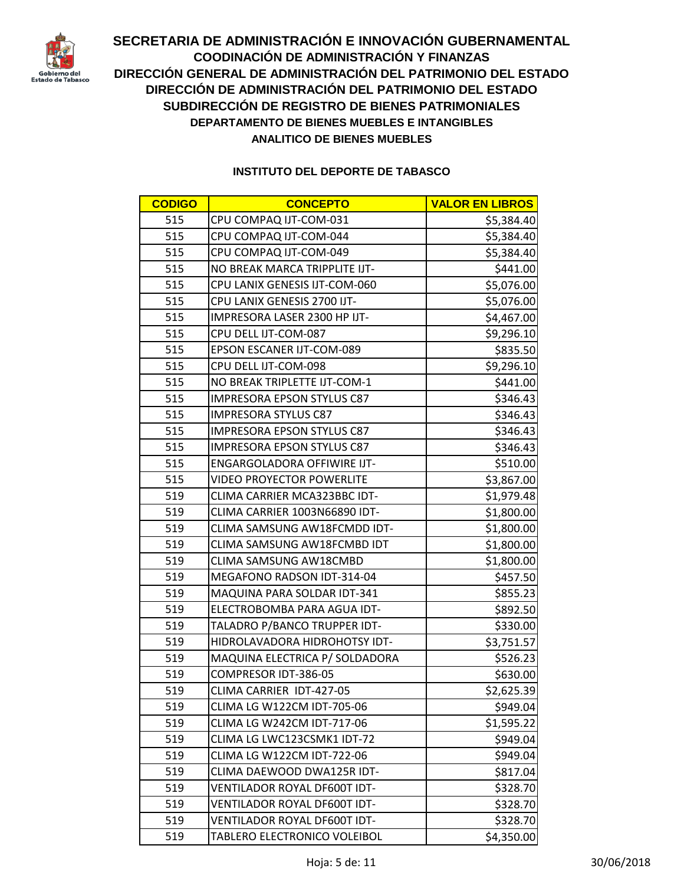

| <b>CODIGO</b> | <b>CONCEPTO</b>                    | <b>VALOR EN LIBROS</b> |
|---------------|------------------------------------|------------------------|
| 515           | CPU COMPAQ IJT-COM-031             | \$5,384.40             |
| 515           | CPU COMPAQ IJT-COM-044             | \$5,384.40             |
| 515           | CPU COMPAQ IJT-COM-049             | \$5,384.40             |
| 515           | NO BREAK MARCA TRIPPLITE IJT-      | \$441.00               |
| 515           | CPU LANIX GENESIS IJT-COM-060      | \$5,076.00             |
| 515           | CPU LANIX GENESIS 2700 IJT-        | \$5,076.00             |
| 515           | IMPRESORA LASER 2300 HP IJT-       | \$4,467.00             |
| 515           | CPU DELL IJT-COM-087               | \$9,296.10             |
| 515           | <b>EPSON ESCANER IJT-COM-089</b>   | \$835.50               |
| 515           | CPU DELL IJT-COM-098               | \$9,296.10             |
| 515           | NO BREAK TRIPLETTE IJT-COM-1       | \$441.00               |
| 515           | <b>IMPRESORA EPSON STYLUS C87</b>  | \$346.43               |
| 515           | <b>IMPRESORA STYLUS C87</b>        | \$346.43               |
| 515           | <b>IMPRESORA EPSON STYLUS C87</b>  | \$346.43               |
| 515           | <b>IMPRESORA EPSON STYLUS C87</b>  | \$346.43               |
| 515           | <b>ENGARGOLADORA OFFIWIRE IJT-</b> | \$510.00               |
| 515           | <b>VIDEO PROYECTOR POWERLITE</b>   | \$3,867.00             |
| 519           | CLIMA CARRIER MCA323BBC IDT-       | \$1,979.48             |
| 519           | CLIMA CARRIER 1003N66890 IDT-      | \$1,800.00             |
| 519           | CLIMA SAMSUNG AW18FCMDD IDT-       | \$1,800.00             |
| 519           | CLIMA SAMSUNG AW18FCMBD IDT        | \$1,800.00             |
| 519           | CLIMA SAMSUNG AW18CMBD             | \$1,800.00             |
| 519           | MEGAFONO RADSON IDT-314-04         | \$457.50               |
| 519           | MAQUINA PARA SOLDAR IDT-341        | \$855.23               |
| 519           | ELECTROBOMBA PARA AGUA IDT-        | \$892.50               |
| 519           | TALADRO P/BANCO TRUPPER IDT-       | \$330.00               |
| 519           | HIDROLAVADORA HIDROHOTSY IDT-      | \$3,751.57             |
| 519           | MAQUINA ELECTRICA P/ SOLDADORA     | \$526.23               |
| 519           | COMPRESOR IDT-386-05               | \$630.00               |
| 519           | CLIMA CARRIER IDT-427-05           | \$2,625.39             |
| 519           | <b>CLIMA LG W122CM IDT-705-06</b>  | \$949.04               |
| 519           | <b>CLIMA LG W242CM IDT-717-06</b>  | \$1,595.22             |
| 519           | CLIMA LG LWC123CSMK1 IDT-72        | \$949.04               |
| 519           | CLIMA LG W122CM IDT-722-06         | \$949.04               |
| 519           | CLIMA DAEWOOD DWA125R IDT-         | \$817.04               |
| 519           | VENTILADOR ROYAL DF600T IDT-       | \$328.70               |
| 519           | VENTILADOR ROYAL DF600T IDT-       | \$328.70               |
| 519           | VENTILADOR ROYAL DF600T IDT-       | \$328.70               |
| 519           | TABLERO ELECTRONICO VOLEIBOL       | \$4,350.00             |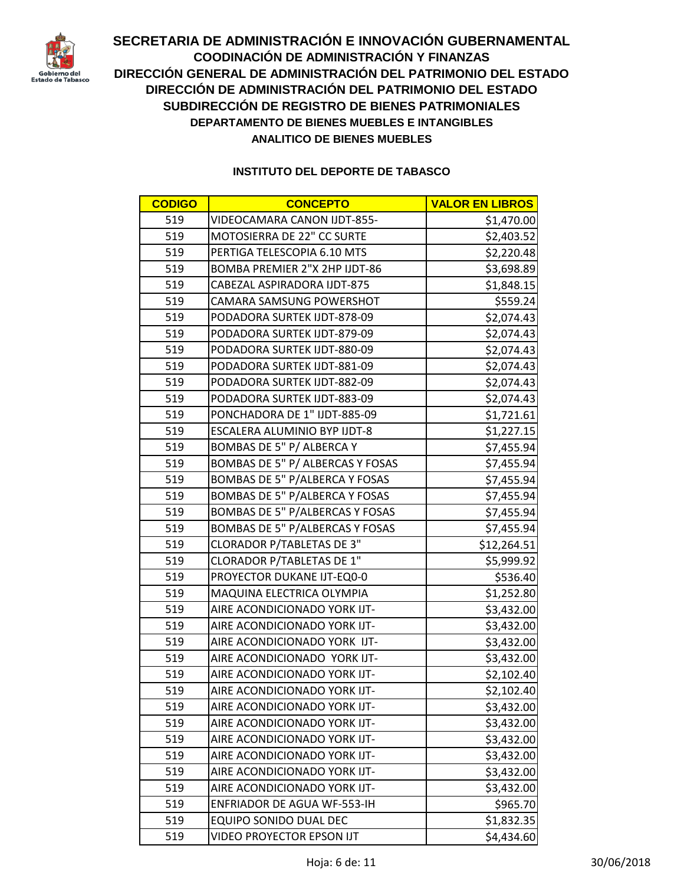

| <b>CODIGO</b> | <b>CONCEPTO</b>                       | <b>VALOR EN LIBROS</b> |
|---------------|---------------------------------------|------------------------|
| 519           | VIDEOCAMARA CANON IJDT-855-           | \$1,470.00             |
| 519           | MOTOSIERRA DE 22" CC SURTE            | \$2,403.52             |
| 519           | PERTIGA TELESCOPIA 6.10 MTS           | \$2,220.48             |
| 519           | <b>BOMBA PREMIER 2"X 2HP IJDT-86</b>  | \$3,698.89             |
| 519           | CABEZAL ASPIRADORA IJDT-875           | \$1,848.15             |
| 519           | CAMARA SAMSUNG POWERSHOT              | \$559.24               |
| 519           | PODADORA SURTEK IJDT-878-09           | \$2,074.43             |
| 519           | PODADORA SURTEK IJDT-879-09           | \$2,074.43             |
| 519           | PODADORA SURTEK IJDT-880-09           | \$2,074.43             |
| 519           | PODADORA SURTEK IJDT-881-09           | \$2,074.43             |
| 519           | PODADORA SURTEK IJDT-882-09           | \$2,074.43             |
| 519           | PODADORA SURTEK IJDT-883-09           | \$2,074.43             |
| 519           | PONCHADORA DE 1" IJDT-885-09          | \$1,721.61             |
| 519           | ESCALERA ALUMINIO BYP IJDT-8          | \$1,227.15             |
| 519           | BOMBAS DE 5" P/ ALBERCA Y             | \$7,455.94             |
| 519           | BOMBAS DE 5" P/ ALBERCAS Y FOSAS      | \$7,455.94             |
| 519           | BOMBAS DE 5" P/ALBERCA Y FOSAS        | \$7,455.94             |
| 519           | <b>BOMBAS DE 5" P/ALBERCA Y FOSAS</b> | \$7,455.94             |
| 519           | BOMBAS DE 5" P/ALBERCAS Y FOSAS       | \$7,455.94             |
| 519           | BOMBAS DE 5" P/ALBERCAS Y FOSAS       | \$7,455.94             |
| 519           | <b>CLORADOR P/TABLETAS DE 3"</b>      | \$12,264.51            |
| 519           | <b>CLORADOR P/TABLETAS DE 1"</b>      | \$5,999.92             |
| 519           | PROYECTOR DUKANE IJT-EQ0-0            | \$536.40               |
| 519           | MAQUINA ELECTRICA OLYMPIA             | \$1,252.80             |
| 519           | AIRE ACONDICIONADO YORK IJT-          | \$3,432.00             |
| 519           | AIRE ACONDICIONADO YORK IJT-          | \$3,432.00             |
| 519           | AIRE ACONDICIONADO YORK IJT-          | \$3,432.00             |
| 519           | AIRE ACONDICIONADO YORK IJT-          | \$3,432.00             |
| 519           | AIRE ACONDICIONADO YORK IJT-          | \$2,102.40             |
| 519           | AIRE ACONDICIONADO YORK IJT-          | \$2,102.40             |
| 519           | AIRE ACONDICIONADO YORK IJT-          | \$3,432.00             |
| 519           | AIRE ACONDICIONADO YORK IJT-          | \$3,432.00             |
| 519           | AIRE ACONDICIONADO YORK IJT-          | \$3,432.00             |
| 519           | AIRE ACONDICIONADO YORK IJT-          | \$3,432.00             |
| 519           | AIRE ACONDICIONADO YORK IJT-          | \$3,432.00             |
| 519           | AIRE ACONDICIONADO YORK IJT-          | \$3,432.00             |
| 519           | <b>ENFRIADOR DE AGUA WF-553-IH</b>    | \$965.70               |
| 519           | <b>EQUIPO SONIDO DUAL DEC</b>         | \$1,832.35             |
| 519           | VIDEO PROYECTOR EPSON IJT             | \$4,434.60             |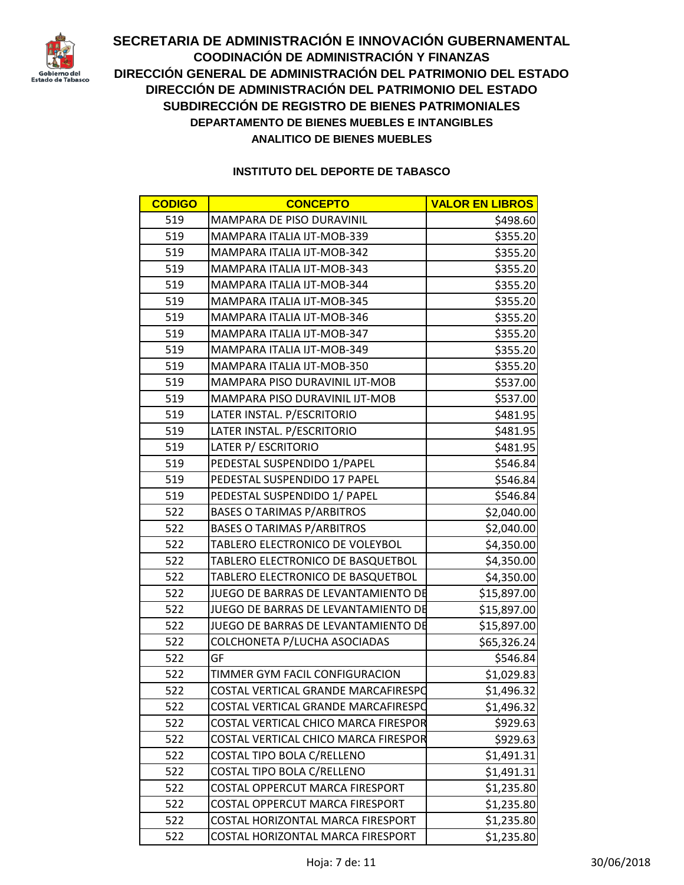

| <b>CODIGO</b> | <b>CONCEPTO</b>                      | <b>VALOR EN LIBROS</b> |
|---------------|--------------------------------------|------------------------|
| 519           | MAMPARA DE PISO DURAVINIL            | \$498.60               |
| 519           | MAMPARA ITALIA IJT-MOB-339           | \$355.20               |
| 519           | MAMPARA ITALIA IJT-MOB-342           | \$355.20               |
| 519           | MAMPARA ITALIA IJT-MOB-343           | \$355.20               |
| 519           | MAMPARA ITALIA IJT-MOB-344           | \$355.20               |
| 519           | MAMPARA ITALIA IJT-MOB-345           | \$355.20               |
| 519           | MAMPARA ITALIA IJT-MOB-346           | \$355.20               |
| 519           | MAMPARA ITALIA IJT-MOB-347           | \$355.20               |
| 519           | MAMPARA ITALIA IJT-MOB-349           | \$355.20               |
| 519           | MAMPARA ITALIA IJT-MOB-350           | \$355.20               |
| 519           | MAMPARA PISO DURAVINIL IJT-MOB       | \$537.00               |
| 519           | MAMPARA PISO DURAVINIL IJT-MOB       | \$537.00               |
| 519           | LATER INSTAL. P/ESCRITORIO           | \$481.95               |
| 519           | LATER INSTAL. P/ESCRITORIO           | \$481.95               |
| 519           | LATER P/ ESCRITORIO                  | \$481.95               |
| 519           | PEDESTAL SUSPENDIDO 1/PAPEL          | \$546.84               |
| 519           | PEDESTAL SUSPENDIDO 17 PAPEL         | \$546.84               |
| 519           | PEDESTAL SUSPENDIDO 1/ PAPEL         | \$546.84               |
| 522           | <b>BASES O TARIMAS P/ARBITROS</b>    | \$2,040.00             |
| 522           | <b>BASES O TARIMAS P/ARBITROS</b>    | \$2,040.00             |
| 522           | TABLERO ELECTRONICO DE VOLEYBOL      | \$4,350.00             |
| 522           | TABLERO ELECTRONICO DE BASQUETBOL    | \$4,350.00             |
| 522           | TABLERO ELECTRONICO DE BASQUETBOL    | \$4,350.00             |
| 522           | JUEGO DE BARRAS DE LEVANTAMIENTO DE  | \$15,897.00            |
| 522           | JUEGO DE BARRAS DE LEVANTAMIENTO DE  | \$15,897.00            |
| 522           | JUEGO DE BARRAS DE LEVANTAMIENTO DE  | \$15,897.00            |
| 522           | COLCHONETA P/LUCHA ASOCIADAS         | \$65,326.24            |
| 522           | GF                                   | \$546.84               |
| 522           | TIMMER GYM FACIL CONFIGURACION       | \$1,029.83             |
| 522           | COSTAL VERTICAL GRANDE MARCAFIRESPO  | \$1,496.32             |
| 522           | COSTAL VERTICAL GRANDE MARCAFIRESPO  | \$1,496.32             |
| 522           | COSTAL VERTICAL CHICO MARCA FIRESPOR | \$929.63               |
| 522           | COSTAL VERTICAL CHICO MARCA FIRESPOR | \$929.63               |
| 522           | COSTAL TIPO BOLA C/RELLENO           | \$1,491.31             |
| 522           | COSTAL TIPO BOLA C/RELLENO           | \$1,491.31             |
| 522           | COSTAL OPPERCUT MARCA FIRESPORT      | \$1,235.80             |
| 522           | COSTAL OPPERCUT MARCA FIRESPORT      | \$1,235.80             |
| 522           | COSTAL HORIZONTAL MARCA FIRESPORT    | \$1,235.80             |
| 522           | COSTAL HORIZONTAL MARCA FIRESPORT    | \$1,235.80             |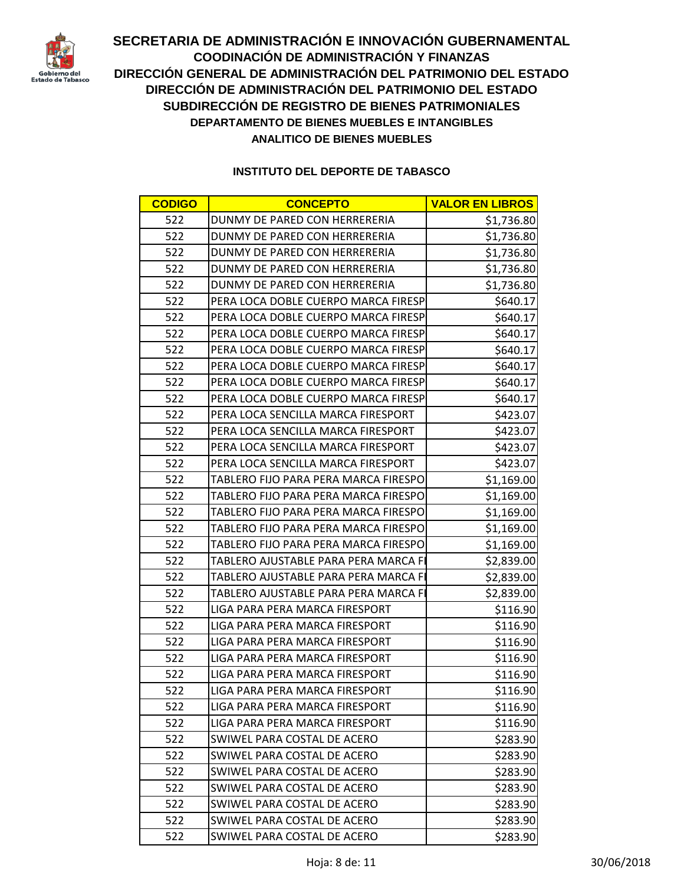

| <b>CODIGO</b> | <b>CONCEPTO</b>                      | <b>VALOR EN LIBROS</b> |
|---------------|--------------------------------------|------------------------|
| 522           | DUNMY DE PARED CON HERRERERIA        | \$1,736.80             |
| 522           | DUNMY DE PARED CON HERRERERIA        | \$1,736.80             |
| 522           | DUNMY DE PARED CON HERRERERIA        | \$1,736.80             |
| 522           | DUNMY DE PARED CON HERRERERIA        | \$1,736.80             |
| 522           | DUNMY DE PARED CON HERRERERIA        | \$1,736.80             |
| 522           | PERA LOCA DOBLE CUERPO MARCA FIRESP  | \$640.17               |
| 522           | PERA LOCA DOBLE CUERPO MARCA FIRESP  | \$640.17               |
| 522           | PERA LOCA DOBLE CUERPO MARCA FIRESP  | \$640.17               |
| 522           | PERA LOCA DOBLE CUERPO MARCA FIRESP  | \$640.17               |
| 522           | PERA LOCA DOBLE CUERPO MARCA FIRESP  | \$640.17               |
| 522           | PERA LOCA DOBLE CUERPO MARCA FIRESP  | \$640.17               |
| 522           | PERA LOCA DOBLE CUERPO MARCA FIRESP  | \$640.17               |
| 522           | PERA LOCA SENCILLA MARCA FIRESPORT   | \$423.07               |
| 522           | PERA LOCA SENCILLA MARCA FIRESPORT   | \$423.07               |
| 522           | PERA LOCA SENCILLA MARCA FIRESPORT   | \$423.07               |
| 522           | PERA LOCA SENCILLA MARCA FIRESPORT   | \$423.07               |
| 522           | TABLERO FIJO PARA PERA MARCA FIRESPO | \$1,169.00             |
| 522           | TABLERO FIJO PARA PERA MARCA FIRESPO | \$1,169.00             |
| 522           | TABLERO FIJO PARA PERA MARCA FIRESPO | \$1,169.00             |
| 522           | TABLERO FIJO PARA PERA MARCA FIRESPO | \$1,169.00             |
| 522           | TABLERO FIJO PARA PERA MARCA FIRESPO | \$1,169.00             |
| 522           | TABLERO AJUSTABLE PARA PERA MARCA FI | \$2,839.00             |
| 522           | TABLERO AJUSTABLE PARA PERA MARCA FI | \$2,839.00             |
| 522           | TABLERO AJUSTABLE PARA PERA MARCA FI | \$2,839.00             |
| 522           | LIGA PARA PERA MARCA FIRESPORT       | \$116.90               |
| 522           | LIGA PARA PERA MARCA FIRESPORT       | \$116.90               |
| 522           | LIGA PARA PERA MARCA FIRESPORT       | \$116.90               |
| 522           | LIGA PARA PERA MARCA FIRESPORT       | \$116.90               |
| 522           | LIGA PARA PERA MARCA FIRESPORT       | \$116.90               |
| 522           | LIGA PARA PERA MARCA FIRESPORT       | \$116.90               |
| 522           | LIGA PARA PERA MARCA FIRESPORT       | \$116.90               |
| 522           | LIGA PARA PERA MARCA FIRESPORT       | \$116.90               |
| 522           | SWIWEL PARA COSTAL DE ACERO          | \$283.90               |
| 522           | SWIWEL PARA COSTAL DE ACERO          | \$283.90               |
| 522           | SWIWEL PARA COSTAL DE ACERO          | \$283.90               |
| 522           | SWIWEL PARA COSTAL DE ACERO          | \$283.90               |
| 522           | SWIWEL PARA COSTAL DE ACERO          | \$283.90               |
| 522           | SWIWEL PARA COSTAL DE ACERO          | \$283.90               |
| 522           | SWIWEL PARA COSTAL DE ACERO          | \$283.90               |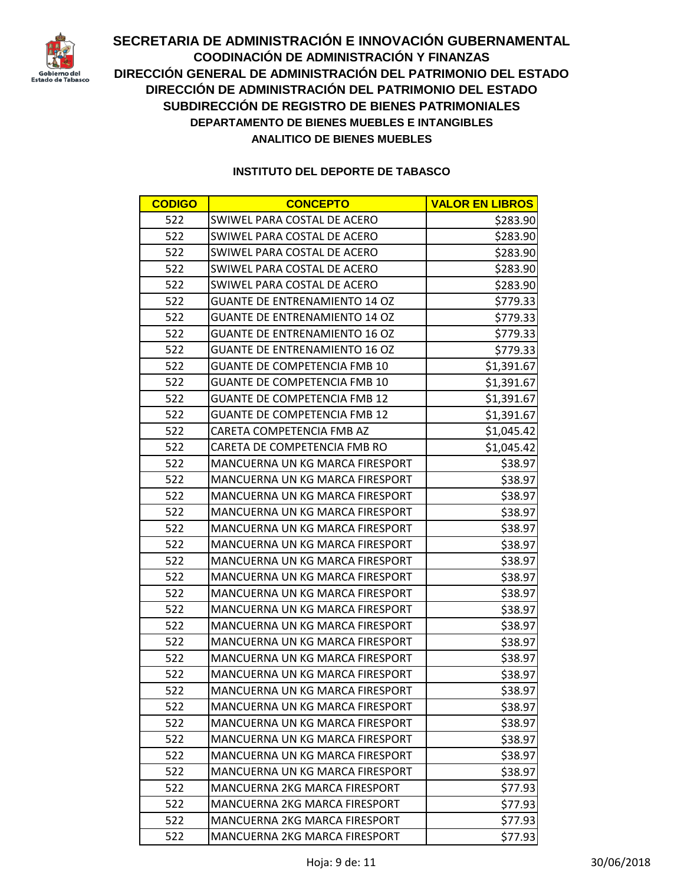

| <b>CODIGO</b> | <b>CONCEPTO</b>                      | <b>VALOR EN LIBROS</b> |
|---------------|--------------------------------------|------------------------|
| 522           | SWIWEL PARA COSTAL DE ACERO          | \$283.90               |
| 522           | SWIWEL PARA COSTAL DE ACERO          | \$283.90               |
| 522           | SWIWEL PARA COSTAL DE ACERO          | \$283.90               |
| 522           | SWIWEL PARA COSTAL DE ACERO          | \$283.90               |
| 522           | SWIWEL PARA COSTAL DE ACERO          | \$283.90               |
| 522           | <b>GUANTE DE ENTRENAMIENTO 14 OZ</b> | \$779.33               |
| 522           | <b>GUANTE DE ENTRENAMIENTO 14 OZ</b> | \$779.33               |
| 522           | <b>GUANTE DE ENTRENAMIENTO 16 OZ</b> | \$779.33               |
| 522           | <b>GUANTE DE ENTRENAMIENTO 16 OZ</b> | \$779.33               |
| 522           | <b>GUANTE DE COMPETENCIA FMB 10</b>  | \$1,391.67             |
| 522           | <b>GUANTE DE COMPETENCIA FMB 10</b>  | \$1,391.67             |
| 522           | <b>GUANTE DE COMPETENCIA FMB 12</b>  | \$1,391.67             |
| 522           | <b>GUANTE DE COMPETENCIA FMB 12</b>  | \$1,391.67             |
| 522           | CARETA COMPETENCIA FMB AZ            | \$1,045.42             |
| 522           | CARETA DE COMPETENCIA FMB RO         | \$1,045.42             |
| 522           | MANCUERNA UN KG MARCA FIRESPORT      | \$38.97                |
| 522           | MANCUERNA UN KG MARCA FIRESPORT      | \$38.97                |
| 522           | MANCUERNA UN KG MARCA FIRESPORT      | \$38.97                |
| 522           | MANCUERNA UN KG MARCA FIRESPORT      | \$38.97                |
| 522           | MANCUERNA UN KG MARCA FIRESPORT      | \$38.97                |
| 522           | MANCUERNA UN KG MARCA FIRESPORT      | \$38.97                |
| 522           | MANCUERNA UN KG MARCA FIRESPORT      | \$38.97                |
| 522           | MANCUERNA UN KG MARCA FIRESPORT      | \$38.97                |
| 522           | MANCUERNA UN KG MARCA FIRESPORT      | \$38.97                |
| 522           | MANCUERNA UN KG MARCA FIRESPORT      | \$38.97                |
| 522           | MANCUERNA UN KG MARCA FIRESPORT      | \$38.97                |
| 522           | MANCUERNA UN KG MARCA FIRESPORT      | \$38.97                |
| 522           | MANCUERNA UN KG MARCA FIRESPORT      | \$38.97                |
| 522           | MANCUERNA UN KG MARCA FIRESPORT      | \$38.97                |
| 522           | MANCUERNA UN KG MARCA FIRESPORT      | \$38.97                |
| 522           | MANCUERNA UN KG MARCA FIRESPORT      | \$38.97                |
| 522           | MANCUERNA UN KG MARCA FIRESPORT      | \$38.97                |
| 522           | MANCUERNA UN KG MARCA FIRESPORT      | \$38.97                |
| 522           | MANCUERNA UN KG MARCA FIRESPORT      | \$38.97                |
| 522           | MANCUERNA UN KG MARCA FIRESPORT      | \$38.97                |
| 522           | MANCUERNA 2KG MARCA FIRESPORT        | \$77.93                |
| 522           | MANCUERNA 2KG MARCA FIRESPORT        | \$77.93                |
| 522           | MANCUERNA 2KG MARCA FIRESPORT        | \$77.93                |
| 522           | MANCUERNA 2KG MARCA FIRESPORT        | \$77.93                |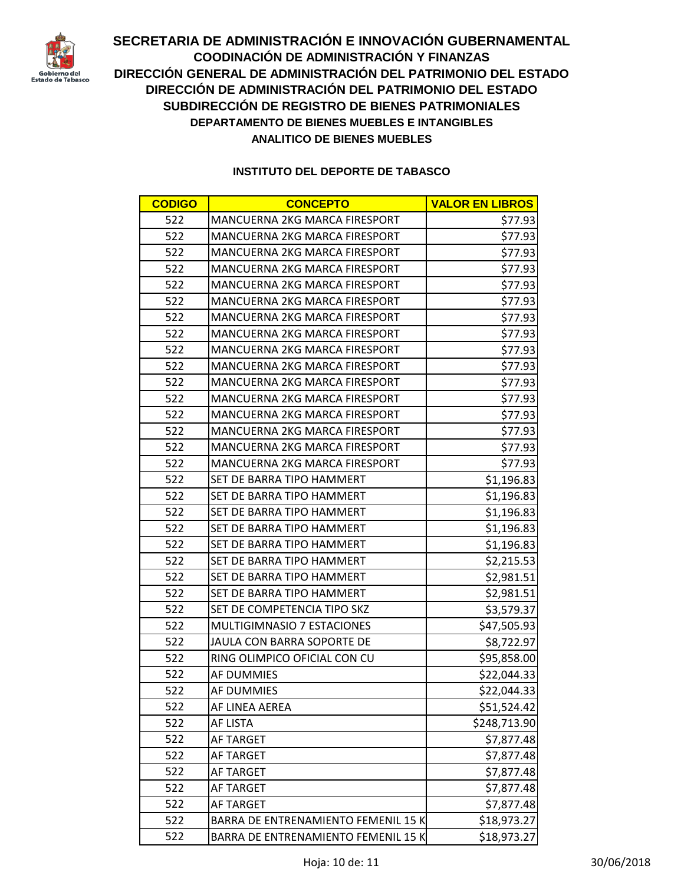

| <b>CODIGO</b> | <b>CONCEPTO</b>                      | <b>VALOR EN LIBROS</b> |
|---------------|--------------------------------------|------------------------|
| 522           | MANCUERNA 2KG MARCA FIRESPORT        | \$77.93                |
| 522           | MANCUERNA 2KG MARCA FIRESPORT        | \$77.93                |
| 522           | MANCUERNA 2KG MARCA FIRESPORT        | \$77.93                |
| 522           | <b>MANCUERNA 2KG MARCA FIRESPORT</b> | \$77.93                |
| 522           | MANCUERNA 2KG MARCA FIRESPORT        | \$77.93                |
| 522           | MANCUERNA 2KG MARCA FIRESPORT        | \$77.93                |
| 522           | <b>MANCUERNA 2KG MARCA FIRESPORT</b> | \$77.93                |
| 522           | MANCUERNA 2KG MARCA FIRESPORT        | \$77.93                |
| 522           | <b>MANCUERNA 2KG MARCA FIRESPORT</b> | \$77.93                |
| 522           | MANCUERNA 2KG MARCA FIRESPORT        | \$77.93                |
| 522           | MANCUERNA 2KG MARCA FIRESPORT        | \$77.93                |
| 522           | MANCUERNA 2KG MARCA FIRESPORT        | \$77.93                |
| 522           | MANCUERNA 2KG MARCA FIRESPORT        | \$77.93                |
| 522           | <b>MANCUERNA 2KG MARCA FIRESPORT</b> | \$77.93                |
| 522           | MANCUERNA 2KG MARCA FIRESPORT        | \$77.93                |
| 522           | MANCUERNA 2KG MARCA FIRESPORT        | \$77.93                |
| 522           | SET DE BARRA TIPO HAMMERT            | \$1,196.83             |
| 522           | SET DE BARRA TIPO HAMMERT            | \$1,196.83             |
| 522           | SET DE BARRA TIPO HAMMERT            | \$1,196.83             |
| 522           | SET DE BARRA TIPO HAMMERT            | \$1,196.83             |
| 522           | SET DE BARRA TIPO HAMMERT            | \$1,196.83             |
| 522           | SET DE BARRA TIPO HAMMERT            | \$2,215.53             |
| 522           | SET DE BARRA TIPO HAMMERT            | \$2,981.51             |
| 522           | SET DE BARRA TIPO HAMMERT            | \$2,981.51             |
| 522           | SET DE COMPETENCIA TIPO SKZ          | \$3,579.37             |
| 522           | <b>MULTIGIMNASIO 7 ESTACIONES</b>    | \$47,505.93            |
| 522           | JAULA CON BARRA SOPORTE DE           | \$8,722.97             |
| 522           | RING OLIMPICO OFICIAL CON CU         | \$95,858.00            |
| 522           | AF DUMMIES                           | \$22,044.33            |
| 522           | <b>AF DUMMIES</b>                    | \$22,044.33            |
| 522           | AF LINEA AEREA                       | \$51,524.42            |
| 522           | <b>AF LISTA</b>                      | \$248,713.90           |
| 522           | AF TARGET                            | \$7,877.48             |
| 522           | AF TARGET                            | \$7,877.48             |
| 522           | AF TARGET                            | \$7,877.48             |
| 522           | AF TARGET                            | \$7,877.48             |
| 522           | AF TARGET                            | \$7,877.48             |
| 522           | BARRA DE ENTRENAMIENTO FEMENIL 15 K  | \$18,973.27            |
| 522           | BARRA DE ENTRENAMIENTO FEMENIL 15 K  | \$18,973.27            |